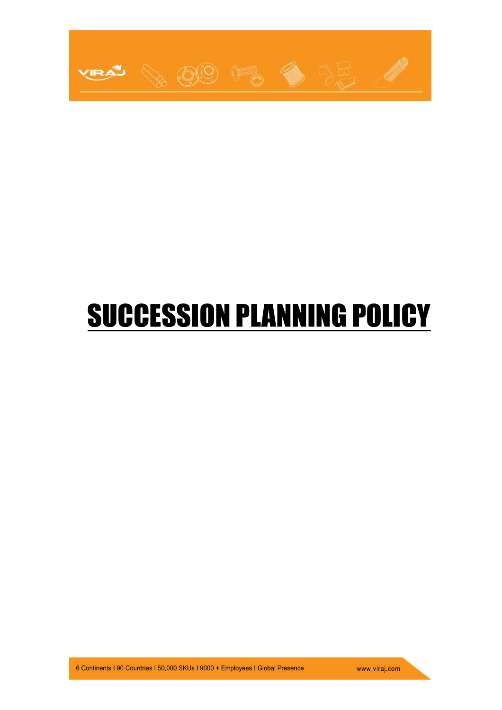

# **SUCCESSION PLANNING POLICY**

www.viraj.com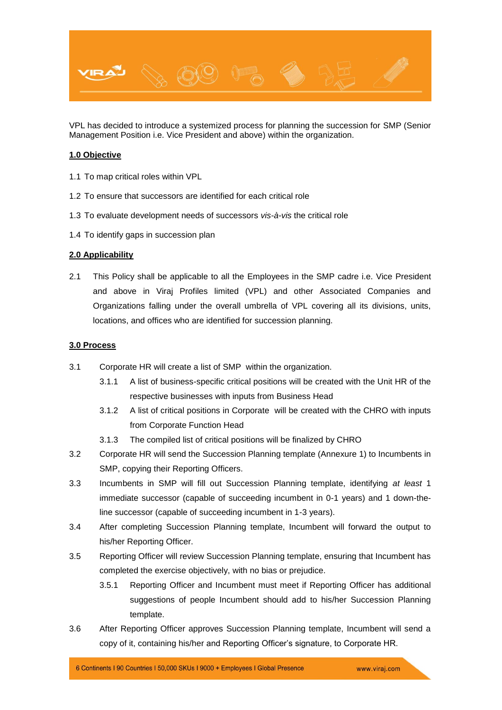

VPL has decided to introduce a systemized process for planning the succession for SMP (Senior Management Position i.e. Vice President and above) within the organization.

### **1.0 Objective**

- 1.1 To map critical roles within VPL
- 1.2 To ensure that successors are identified for each critical role
- 1.3 To evaluate development needs of successors *vis-à-vis* the critical role
- 1.4 To identify gaps in succession plan

#### **2.0 Applicability**

2.1 This Policy shall be applicable to all the Employees in the SMP cadre i.e. Vice President and above in Viraj Profiles limited (VPL) and other Associated Companies and Organizations falling under the overall umbrella of VPL covering all its divisions, units, locations, and offices who are identified for succession planning.

#### **3.0 Process**

- 3.1 Corporate HR will create a list of SMP within the organization.
	- 3.1.1 A list of business-specific critical positions will be created with the Unit HR of the respective businesses with inputs from Business Head
	- 3.1.2 A list of critical positions in Corporate will be created with the CHRO with inputs from Corporate Function Head
	- 3.1.3 The compiled list of critical positions will be finalized by CHRO
- 3.2 Corporate HR will send the Succession Planning template (Annexure 1) to Incumbents in SMP, copying their Reporting Officers.
- 3.3 Incumbents in SMP will fill out Succession Planning template, identifying *at least* 1 immediate successor (capable of succeeding incumbent in 0-1 years) and 1 down-theline successor (capable of succeeding incumbent in 1-3 years).
- 3.4 After completing Succession Planning template, Incumbent will forward the output to his/her Reporting Officer.
- 3.5 Reporting Officer will review Succession Planning template, ensuring that Incumbent has completed the exercise objectively, with no bias or prejudice.
	- 3.5.1 Reporting Officer and Incumbent must meet if Reporting Officer has additional suggestions of people Incumbent should add to his/her Succession Planning template.
- 3.6 After Reporting Officer approves Succession Planning template, Incumbent will send a copy of it, containing his/her and Reporting Officer's signature, to Corporate HR.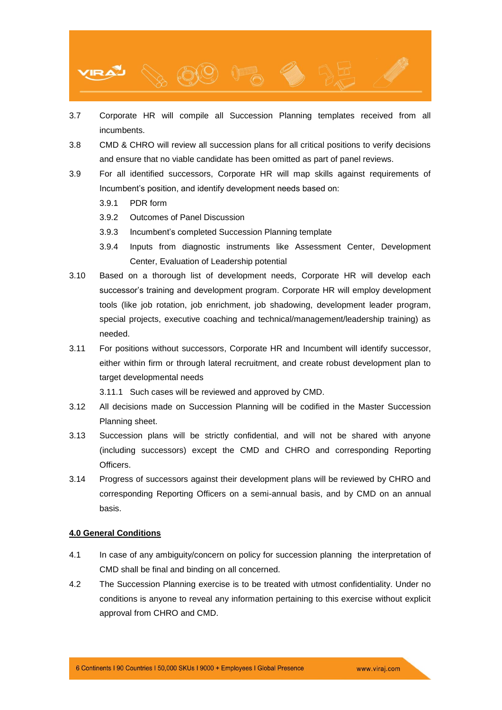

- 3.7 Corporate HR will compile all Succession Planning templates received from all incumbents.
- 3.8 CMD & CHRO will review all succession plans for all critical positions to verify decisions and ensure that no viable candidate has been omitted as part of panel reviews.
- 3.9 For all identified successors, Corporate HR will map skills against requirements of Incumbent's position, and identify development needs based on:
	- 3.9.1 PDR form
	- 3.9.2 Outcomes of Panel Discussion
	- 3.9.3 Incumbent's completed Succession Planning template
	- 3.9.4 Inputs from diagnostic instruments like Assessment Center, Development Center, Evaluation of Leadership potential
- 3.10 Based on a thorough list of development needs, Corporate HR will develop each successor's training and development program. Corporate HR will employ development tools (like job rotation, job enrichment, job shadowing, development leader program, special projects, executive coaching and technical/management/leadership training) as needed.
- 3.11 For positions without successors, Corporate HR and Incumbent will identify successor, either within firm or through lateral recruitment, and create robust development plan to target developmental needs

3.11.1 Such cases will be reviewed and approved by CMD.

- 3.12 All decisions made on Succession Planning will be codified in the Master Succession Planning sheet.
- 3.13 Succession plans will be strictly confidential, and will not be shared with anyone (including successors) except the CMD and CHRO and corresponding Reporting Officers.
- 3.14 Progress of successors against their development plans will be reviewed by CHRO and corresponding Reporting Officers on a semi-annual basis, and by CMD on an annual basis.

#### **4.0 General Conditions**

- 4.1 In case of any ambiguity/concern on policy for succession planning the interpretation of CMD shall be final and binding on all concerned.
- 4.2 The Succession Planning exercise is to be treated with utmost confidentiality. Under no conditions is anyone to reveal any information pertaining to this exercise without explicit approval from CHRO and CMD.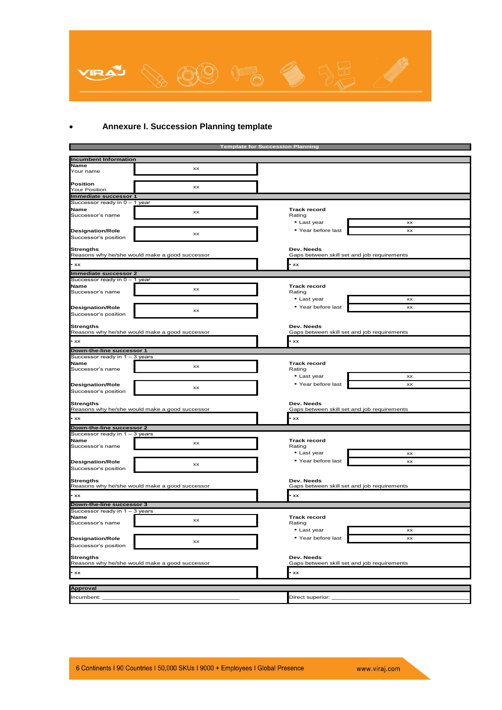

## **Annexure I. Succession Planning template**

|                                                             |                                                | <b>Template for Succession Planning</b>                   |                                             |  |  |  |  |  |
|-------------------------------------------------------------|------------------------------------------------|-----------------------------------------------------------|---------------------------------------------|--|--|--|--|--|
| <b>Incumbent Information</b>                                |                                                |                                                           |                                             |  |  |  |  |  |
| <b>Name</b>                                                 |                                                |                                                           |                                             |  |  |  |  |  |
| Your name                                                   | хx                                             |                                                           |                                             |  |  |  |  |  |
| Position<br><b>Your Position</b>                            | XX                                             |                                                           |                                             |  |  |  |  |  |
| Immediate successor 1                                       |                                                |                                                           |                                             |  |  |  |  |  |
| Successor ready in 0 - 1 year                               |                                                |                                                           |                                             |  |  |  |  |  |
| <b>Name</b><br>Successor's name                             | XX                                             | <b>Track record</b><br>Rating                             |                                             |  |  |  |  |  |
|                                                             |                                                | • Last year                                               | хx                                          |  |  |  |  |  |
| <b>Designation/Role</b>                                     | XX                                             | ■ Year before last                                        | хx                                          |  |  |  |  |  |
| Successor's position                                        |                                                |                                                           |                                             |  |  |  |  |  |
| <b>Strengths</b>                                            | Reasons why he/she would make a good successor | Dev. Needs<br>Gaps between skill set and job requirements |                                             |  |  |  |  |  |
| $\cdot$ xx                                                  |                                                | XX                                                        |                                             |  |  |  |  |  |
| Immediate successor 2                                       |                                                |                                                           |                                             |  |  |  |  |  |
| Successor ready in 0 - 1 year                               |                                                |                                                           |                                             |  |  |  |  |  |
| <b>Name</b>                                                 | xx                                             | <b>Track record</b>                                       |                                             |  |  |  |  |  |
| Successor's name                                            |                                                | Rating                                                    |                                             |  |  |  |  |  |
|                                                             |                                                | - Last year                                               | xx                                          |  |  |  |  |  |
| <b>Designation/Role</b>                                     | хx                                             | ■ Year before last                                        | хx                                          |  |  |  |  |  |
| Successor's position                                        |                                                |                                                           |                                             |  |  |  |  |  |
| <b>Strengths</b>                                            | Reasons why he/she would make a good successor | Dev. Needs                                                | Gaps between skill set and job requirements |  |  |  |  |  |
|                                                             |                                                |                                                           |                                             |  |  |  |  |  |
| • xx                                                        |                                                | XX                                                        |                                             |  |  |  |  |  |
| Down-the-line successor 1                                   |                                                |                                                           |                                             |  |  |  |  |  |
| Successor ready in 1 - 3 years                              |                                                |                                                           |                                             |  |  |  |  |  |
| <b>Name</b><br>Successor's name                             | хx                                             | <b>Track record</b><br>Rating                             |                                             |  |  |  |  |  |
|                                                             |                                                | • Last year                                               | XX                                          |  |  |  |  |  |
| <b>Designation/Role</b>                                     |                                                | " Year before last                                        | хx                                          |  |  |  |  |  |
| Successor's position                                        | хx                                             |                                                           |                                             |  |  |  |  |  |
|                                                             |                                                |                                                           |                                             |  |  |  |  |  |
| <b>Strengths</b>                                            | Reasons why he/she would make a good successor | Dev. Needs<br>Gaps between skill set and job requirements |                                             |  |  |  |  |  |
| $\cdot$ xx                                                  |                                                | xx                                                        |                                             |  |  |  |  |  |
| Down-the-line successor 2                                   |                                                |                                                           |                                             |  |  |  |  |  |
| Successor ready in 1 - 3 years                              |                                                |                                                           |                                             |  |  |  |  |  |
| <b>Name</b>                                                 | хx                                             | <b>Track record</b>                                       |                                             |  |  |  |  |  |
| Successor's name                                            |                                                | Rating                                                    |                                             |  |  |  |  |  |
|                                                             |                                                | • Last year                                               | хx                                          |  |  |  |  |  |
| <b>Designation/Role</b>                                     | хx                                             | ■ Year before last                                        | хx                                          |  |  |  |  |  |
| Successor's position                                        |                                                |                                                           |                                             |  |  |  |  |  |
| <b>Strengths</b>                                            | Reasons why he/she would make a good successor | Dev. Needs<br>Gaps between skill set and job requirements |                                             |  |  |  |  |  |
| $\cdot$ xx                                                  |                                                | xx                                                        |                                             |  |  |  |  |  |
|                                                             |                                                |                                                           |                                             |  |  |  |  |  |
| Down-the-line successor 3<br>Successor ready in 1 - 3 years |                                                |                                                           |                                             |  |  |  |  |  |
| <b>Name</b>                                                 |                                                | <b>Track record</b>                                       |                                             |  |  |  |  |  |
| Successor's name                                            | XX                                             | Rating                                                    |                                             |  |  |  |  |  |
|                                                             |                                                | • Last year                                               | ХX                                          |  |  |  |  |  |
| <b>Designation/Role</b>                                     |                                                | ■ Year before last                                        | хx                                          |  |  |  |  |  |
| Successor's position                                        | хx                                             |                                                           |                                             |  |  |  |  |  |
| <b>Strengths</b>                                            |                                                | Dev. Needs                                                |                                             |  |  |  |  |  |
|                                                             | Reasons why he/she would make a good successor | Gaps between skill set and job requirements               |                                             |  |  |  |  |  |
| $\cdot$ xx                                                  |                                                | xx                                                        |                                             |  |  |  |  |  |
| <b>Approval</b>                                             |                                                |                                                           |                                             |  |  |  |  |  |
| Incumbent:                                                  |                                                | Direct superior:                                          |                                             |  |  |  |  |  |
|                                                             |                                                |                                                           |                                             |  |  |  |  |  |

www.viraj.com